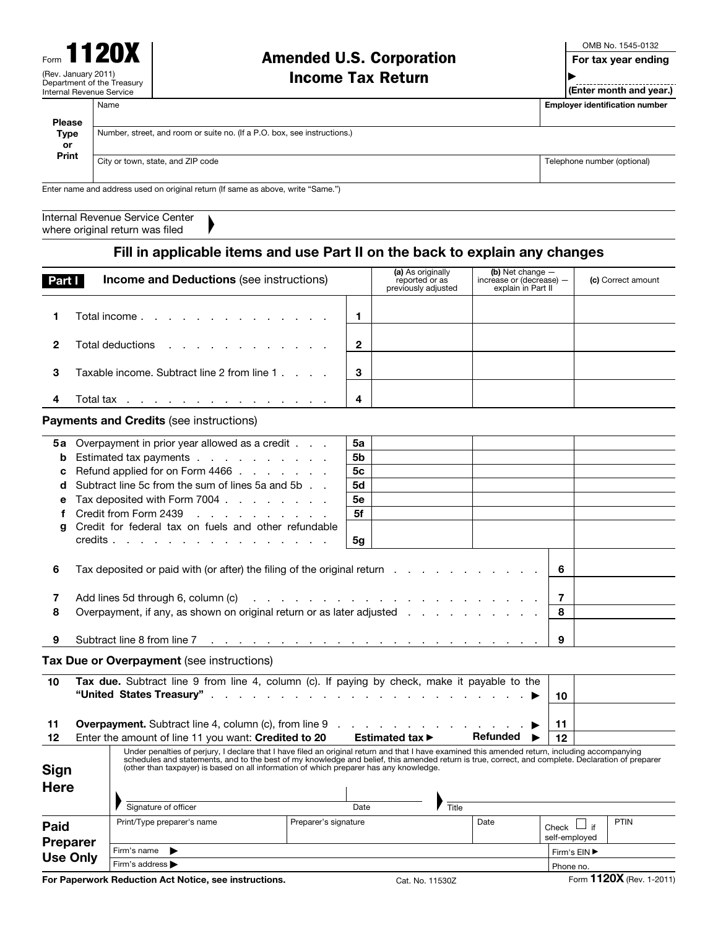# Amended U.S. Corporation

OMB No. 1545-0132

For tax year ending

Income Tax Return

**EXALUATE:**<br>(Enter month and year.)

▶

Name **Employer identification number**  $\blacksquare$ 

| <b>Please</b><br><b>Type</b>               | Number, street, and room or suite no. (If a P.O. box, see instructions.)         |  |                                                            |                                                                      |  |                             |  |  |  |  |
|--------------------------------------------|----------------------------------------------------------------------------------|--|------------------------------------------------------------|----------------------------------------------------------------------|--|-----------------------------|--|--|--|--|
| <b>or</b>                                  |                                                                                  |  |                                                            |                                                                      |  |                             |  |  |  |  |
| Print<br>City or town, state, and ZIP code |                                                                                  |  |                                                            |                                                                      |  | Telephone number (optional) |  |  |  |  |
|                                            | Enter name and address used on original return (If same as above, write "Same.") |  |                                                            |                                                                      |  |                             |  |  |  |  |
|                                            | Internal Revenue Service Center<br>where original return was filed               |  |                                                            |                                                                      |  |                             |  |  |  |  |
|                                            | Fill in applicable items and use Part II on the back to explain any changes      |  |                                                            |                                                                      |  |                             |  |  |  |  |
| Part I                                     | <b>Income and Deductions (see instructions)</b>                                  |  | (a) As originally<br>reported or as<br>previously adjusted | (b) Net change $-$<br>increase or (decrease) -<br>explain in Part II |  | (c) Correct amount          |  |  |  |  |
|                                            |                                                                                  |  |                                                            |                                                                      |  |                             |  |  |  |  |

| 1                          | Total income.                                                                                                                                                                                                                                                                                                                                                                                  |                      | 1              |                                     |                 |                                  |  |      |  |
|----------------------------|------------------------------------------------------------------------------------------------------------------------------------------------------------------------------------------------------------------------------------------------------------------------------------------------------------------------------------------------------------------------------------------------|----------------------|----------------|-------------------------------------|-----------------|----------------------------------|--|------|--|
| $\mathbf{2}$               | Total deductions                                                                                                                                                                                                                                                                                                                                                                               |                      | $\mathbf{2}$   |                                     |                 |                                  |  |      |  |
| 3                          | Taxable income. Subtract line 2 from line 1                                                                                                                                                                                                                                                                                                                                                    |                      | 3              |                                     |                 |                                  |  |      |  |
| 4                          | Total tax $\ldots$ $\ldots$ $\ldots$ $\ldots$ $\ldots$ $\ldots$ $\ldots$                                                                                                                                                                                                                                                                                                                       |                      | 4              |                                     |                 |                                  |  |      |  |
|                            | <b>Payments and Credits (see instructions)</b>                                                                                                                                                                                                                                                                                                                                                 |                      |                |                                     |                 |                                  |  |      |  |
| 5а                         | Overpayment in prior year allowed as a credit                                                                                                                                                                                                                                                                                                                                                  |                      | 5a             |                                     |                 |                                  |  |      |  |
| b                          | Estimated tax payments                                                                                                                                                                                                                                                                                                                                                                         |                      | 5b             |                                     |                 |                                  |  |      |  |
| c                          | Refund applied for on Form 4466                                                                                                                                                                                                                                                                                                                                                                |                      | 5c             |                                     |                 |                                  |  |      |  |
| d                          | Subtract line 5c from the sum of lines 5a and 5b                                                                                                                                                                                                                                                                                                                                               |                      | 5d             |                                     |                 |                                  |  |      |  |
| е                          | Tax deposited with Form $7004$ ,                                                                                                                                                                                                                                                                                                                                                               |                      | 5е             |                                     |                 |                                  |  |      |  |
| f                          | Credit from Form 2439<br><u>na kama sa sana sa sa sa</u>                                                                                                                                                                                                                                                                                                                                       |                      | 5f             |                                     |                 |                                  |  |      |  |
| a                          | Credit for federal tax on fuels and other refundable                                                                                                                                                                                                                                                                                                                                           |                      |                |                                     |                 |                                  |  |      |  |
|                            | credits                                                                                                                                                                                                                                                                                                                                                                                        |                      | 5 <sub>g</sub> |                                     |                 |                                  |  |      |  |
| 6                          | Tax deposited or paid with (or after) the filing of the original return                                                                                                                                                                                                                                                                                                                        |                      |                |                                     |                 | 6                                |  |      |  |
| 7                          |                                                                                                                                                                                                                                                                                                                                                                                                |                      |                |                                     |                 | 7                                |  |      |  |
| 8                          | Overpayment, if any, as shown on original return or as later adjusted                                                                                                                                                                                                                                                                                                                          |                      |                |                                     |                 | 8                                |  |      |  |
|                            |                                                                                                                                                                                                                                                                                                                                                                                                |                      |                |                                     |                 |                                  |  |      |  |
| 9                          |                                                                                                                                                                                                                                                                                                                                                                                                |                      |                |                                     |                 | 9                                |  |      |  |
|                            | Tax Due or Overpayment (see instructions)                                                                                                                                                                                                                                                                                                                                                      |                      |                |                                     |                 |                                  |  |      |  |
| 10                         | Tax due. Subtract line 9 from line 4, column (c). If paying by check, make it payable to the                                                                                                                                                                                                                                                                                                   |                      |                |                                     |                 |                                  |  |      |  |
|                            |                                                                                                                                                                                                                                                                                                                                                                                                |                      |                |                                     |                 | 10                               |  |      |  |
|                            |                                                                                                                                                                                                                                                                                                                                                                                                |                      |                |                                     |                 |                                  |  |      |  |
| 11                         | <b>Overpayment.</b> Subtract line 4, column (c), from line 9                                                                                                                                                                                                                                                                                                                                   |                      |                |                                     |                 | 11                               |  |      |  |
| 12                         | Enter the amount of line 11 you want: Credited to 20                                                                                                                                                                                                                                                                                                                                           |                      |                | Estimated tax $\blacktriangleright$ | <b>Refunded</b> | 12                               |  |      |  |
| <b>Sign</b><br><b>Here</b> | Under penalties of perjury, I declare that I have filed an original return and that I have examined this amended return, including accompanying<br>schedules and statements, and to the best of my knowledge and belief, this amended return is true, correct, and complete. Declaration of preparer<br>(other than taxpayer) is based on all information of which preparer has any knowledge. |                      |                |                                     |                 |                                  |  |      |  |
|                            | Signature of officer                                                                                                                                                                                                                                                                                                                                                                           |                      | Date           | Title                               |                 |                                  |  |      |  |
|                            | Print/Type preparer's name                                                                                                                                                                                                                                                                                                                                                                     | Preparer's signature |                |                                     | Date            |                                  |  | PTIN |  |
| Paid                       |                                                                                                                                                                                                                                                                                                                                                                                                |                      |                |                                     |                 | Check $\Box$ if<br>self-employed |  |      |  |
| <b>Preparer</b>            | Firm's name<br>▶                                                                                                                                                                                                                                                                                                                                                                               |                      |                |                                     |                 | Firm's EIN ▶                     |  |      |  |
| <b>Use Only</b>            | Firm's address >                                                                                                                                                                                                                                                                                                                                                                               |                      |                |                                     |                 | Phone no.                        |  |      |  |
|                            |                                                                                                                                                                                                                                                                                                                                                                                                |                      |                |                                     |                 |                                  |  |      |  |

For Paperwork Reduction Act Notice, see instructions. Cat. No. 11530Z Form 1120X (Rev. 1-2011)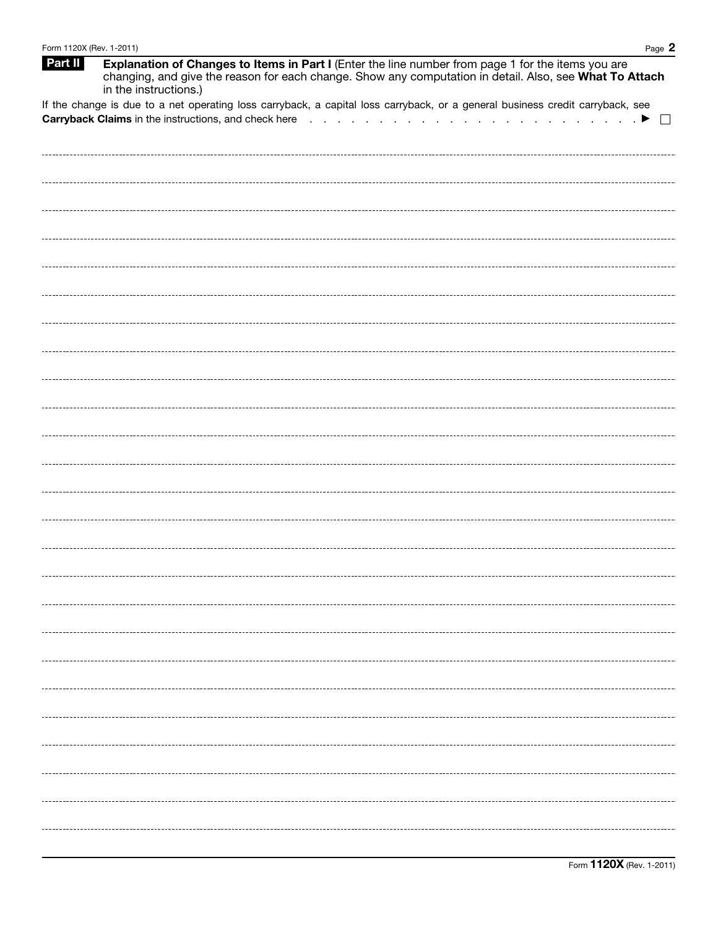| Form 1120X (Rev. 1-2011) | Page $2$                                                                                                                                                                                                                               |
|--------------------------|----------------------------------------------------------------------------------------------------------------------------------------------------------------------------------------------------------------------------------------|
| Part II                  | Explanation of Changes to Items in Part I (Enter the line number from page 1 for the items you are<br>changing, and give the reason for each change. Show any computation in detail. Also, see What To Attach<br>in the instructions.) |
|                          | If the change is due to a net operating loss carryback, a capital loss carryback, or a general business credit carryback, see                                                                                                          |
|                          | Carryback Claims in the instructions, and check here refered to the content of the content of the content of $\blacktriangleright$<br>$\perp$                                                                                          |
|                          |                                                                                                                                                                                                                                        |
|                          |                                                                                                                                                                                                                                        |
|                          |                                                                                                                                                                                                                                        |
|                          |                                                                                                                                                                                                                                        |
|                          |                                                                                                                                                                                                                                        |
|                          |                                                                                                                                                                                                                                        |
|                          |                                                                                                                                                                                                                                        |
|                          |                                                                                                                                                                                                                                        |
|                          |                                                                                                                                                                                                                                        |
|                          |                                                                                                                                                                                                                                        |
|                          |                                                                                                                                                                                                                                        |
|                          |                                                                                                                                                                                                                                        |
|                          |                                                                                                                                                                                                                                        |
|                          |                                                                                                                                                                                                                                        |
|                          |                                                                                                                                                                                                                                        |
|                          |                                                                                                                                                                                                                                        |
|                          |                                                                                                                                                                                                                                        |
|                          |                                                                                                                                                                                                                                        |
|                          |                                                                                                                                                                                                                                        |
|                          |                                                                                                                                                                                                                                        |
|                          |                                                                                                                                                                                                                                        |
|                          |                                                                                                                                                                                                                                        |
|                          |                                                                                                                                                                                                                                        |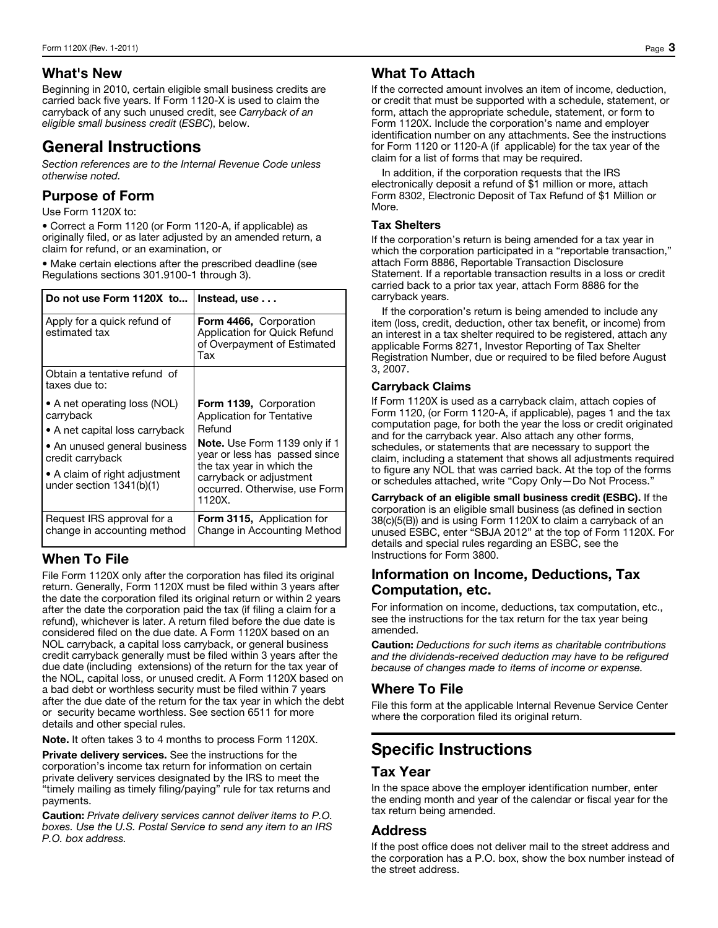#### What's New

Beginning in 2010, certain eligible small business credits are carried back five years. If Form 1120-X is used to claim the carryback of any such unused credit, see *Carryback of an eligible small business credit* (*ESBC*), below.

# General Instructions

*Section references are to the Internal Revenue Code unless otherwise noted.* 

#### Purpose of Form

Use Form 1120X to:

• Correct a Form 1120 (or Form 1120-A, if applicable) as originally filed, or as later adjusted by an amended return, a claim for refund, or an examination, or

• Make certain elections after the prescribed deadline (see Regulations sections 301.9100-1 through 3).

| Do not use Form 1120X to   Instead, use                                                                                                                                                        |                                                                                                                                                                                                                                                  |  |  |  |  |  |
|------------------------------------------------------------------------------------------------------------------------------------------------------------------------------------------------|--------------------------------------------------------------------------------------------------------------------------------------------------------------------------------------------------------------------------------------------------|--|--|--|--|--|
| Apply for a quick refund of<br>estimated tax                                                                                                                                                   | Form 4466, Corporation<br>Application for Quick Refund<br>of Overpayment of Estimated<br>Tax                                                                                                                                                     |  |  |  |  |  |
| Obtain a tentative refund of<br>taxes due to:                                                                                                                                                  |                                                                                                                                                                                                                                                  |  |  |  |  |  |
| • A net operating loss (NOL)<br>carryback<br>• A net capital loss carryback<br>• An unused general business<br>credit carryback<br>• A claim of right adjustment<br>under section $1341(b)(1)$ | Form 1139, Corporation<br><b>Application for Tentative</b><br>Refund<br><b>Note.</b> Use Form 1139 only if 1<br>year or less has passed since<br>the tax year in which the<br>carryback or adjustment<br>occurred. Otherwise, use Form<br>1120X. |  |  |  |  |  |
| Request IRS approval for a<br>change in accounting method                                                                                                                                      | <b>Form 3115, Application for</b><br>Change in Accounting Method                                                                                                                                                                                 |  |  |  |  |  |

# When To File

File Form 1120X only after the corporation has filed its original return. Generally, Form 1120X must be filed within 3 years after the date the corporation filed its original return or within 2 years after the date the corporation paid the tax (if filing a claim for a refund), whichever is later. A return filed before the due date is considered filed on the due date. A Form 1120X based on an NOL carryback, a capital loss carryback, or general business credit carryback generally must be filed within 3 years after the due date (including extensions) of the return for the tax year of the NOL, capital loss, or unused credit. A Form 1120X based on a bad debt or worthless security must be filed within 7 years after the due date of the return for the tax year in which the debt or security became worthless. See section 6511 for more details and other special rules.

Note. It often takes 3 to 4 months to process Form 1120X.

Private delivery services. See the instructions for the corporation's income tax return for information on certain private delivery services designated by the IRS to meet the "timely mailing as timely filing/paying" rule for tax returns and payments.

Caution: *Private delivery services cannot deliver items to P.O. boxes. Use the U.S. Postal Service to send any item to an IRS P.O. box address.* 

### What To Attach

If the corrected amount involves an item of income, deduction, or credit that must be supported with a schedule, statement, or form, attach the appropriate schedule, statement, or form to Form 1120X. Include the corporation's name and employer identification number on any attachments. See the instructions for Form 1120 or 1120-A (if applicable) for the tax year of the claim for a list of forms that may be required.

In addition, if the corporation requests that the IRS electronically deposit a refund of \$1 million or more, attach Form 8302, Electronic Deposit of Tax Refund of \$1 Million or More.

#### Tax Shelters

If the corporation's return is being amended for a tax year in which the corporation participated in a "reportable transaction," attach Form 8886, Reportable Transaction Disclosure Statement. If a reportable transaction results in a loss or credit carried back to a prior tax year, attach Form 8886 for the carryback years.

If the corporation's return is being amended to include any item (loss, credit, deduction, other tax benefit, or income) from an interest in a tax shelter required to be registered, attach any applicable Forms 8271, Investor Reporting of Tax Shelter Registration Number, due or required to be filed before August 3, 2007.

#### Carryback Claims

If Form 1120X is used as a carryback claim, attach copies of Form 1120, (or Form 1120-A, if applicable), pages 1 and the tax computation page, for both the year the loss or credit originated and for the carryback year. Also attach any other forms, schedules, or statements that are necessary to support the claim, including a statement that shows all adjustments required to figure any NOL that was carried back. At the top of the forms or schedules attached, write "Copy Only—Do Not Process."

Carryback of an eligible small business credit (ESBC). If the corporation is an eligible small business (as defined in section 38(c)(5(B)) and is using Form 1120X to claim a carryback of an unused ESBC, enter "SBJA 2012" at the top of Form 1120X. For details and special rules regarding an ESBC, see the Instructions for Form 3800.

#### Information on Income, Deductions, Tax Computation, etc.

For information on income, deductions, tax computation, etc., see the instructions for the tax return for the tax year being amended.

Caution: *Deductions for such items as charitable contributions and the dividends-received deduction may have to be refigured because of changes made to items of income or expense.* 

# Where To File

File this form at the applicable Internal Revenue Service Center where the corporation filed its original return.

# Specific Instructions

# Tax Year

In the space above the employer identification number, enter the ending month and year of the calendar or fiscal year for the tax return being amended.

#### Address

If the post office does not deliver mail to the street address and the corporation has a P.O. box, show the box number instead of the street address.